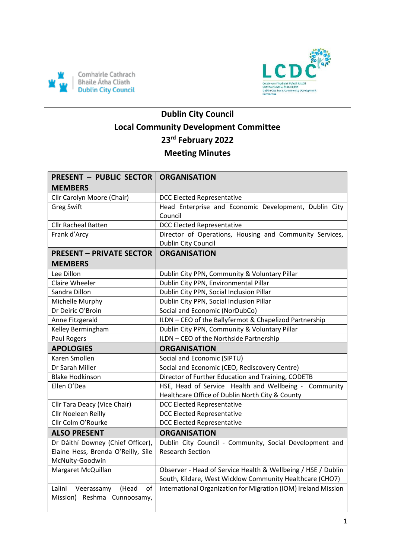



# **Dublin City Council Local Community Development Committee 23rd February 2022 Meeting Minutes**

| <b>PRESENT - PUBLIC SECTOR  </b>   | <b>ORGANISATION</b>                                            |
|------------------------------------|----------------------------------------------------------------|
| <b>MEMBERS</b>                     |                                                                |
| Cllr Carolyn Moore (Chair)         | <b>DCC Elected Representative</b>                              |
| <b>Greg Swift</b>                  | Head Enterprise and Economic Development, Dublin City          |
|                                    | Council                                                        |
| <b>Cllr Racheal Batten</b>         | <b>DCC Elected Representative</b>                              |
| Frank d'Arcy                       | Director of Operations, Housing and Community Services,        |
|                                    | Dublin City Council                                            |
| <b>PRESENT - PRIVATE SECTOR</b>    | <b>ORGANISATION</b>                                            |
| <b>MEMBERS</b>                     |                                                                |
| Lee Dillon                         | Dublin City PPN, Community & Voluntary Pillar                  |
| Claire Wheeler                     | Dublin City PPN, Environmental Pillar                          |
| Sandra Dillon                      | Dublin City PPN, Social Inclusion Pillar                       |
| Michelle Murphy                    | Dublin City PPN, Social Inclusion Pillar                       |
| Dr Deiric O'Broin                  | Social and Economic (NorDubCo)                                 |
| Anne Fitzgerald                    | ILDN - CEO of the Ballyfermot & Chapelizod Partnership         |
| Kelley Bermingham                  | Dublin City PPN, Community & Voluntary Pillar                  |
| Paul Rogers                        | ILDN - CEO of the Northside Partnership                        |
| <b>APOLOGIES</b>                   | <b>ORGANISATION</b>                                            |
|                                    |                                                                |
| Karen Smollen                      | Social and Economic (SIPTU)                                    |
| Dr Sarah Miller                    | Social and Economic (CEO, Rediscovery Centre)                  |
| <b>Blake Hodkinson</b>             | Director of Further Education and Training, CODETB             |
| Ellen O'Dea                        | HSE, Head of Service Health and Wellbeing - Community          |
|                                    | Healthcare Office of Dublin North City & County                |
| Cllr Tara Deacy (Vice Chair)       | <b>DCC Elected Representative</b>                              |
| Cllr Noeleen Reilly                | <b>DCC Elected Representative</b>                              |
| Cllr Colm O'Rourke                 | <b>DCC Elected Representative</b>                              |
| <b>ALSO PRESENT</b>                | <b>ORGANISATION</b>                                            |
| Dr Dáithí Downey (Chief Officer),  | Dublin City Council - Community, Social Development and        |
| Elaine Hess, Brenda O'Reilly, Síle | <b>Research Section</b>                                        |
| McNulty-Goodwin                    |                                                                |
| Margaret McQuillan                 | Observer - Head of Service Health & Wellbeing / HSE / Dublin   |
|                                    | South, Kildare, West Wicklow Community Healthcare (CHO7)       |
| Lalini Veerassamy<br>(Head<br>of   | International Organization for Migration (IOM) Ireland Mission |
| Mission) Reshma Cunnoosamy,        |                                                                |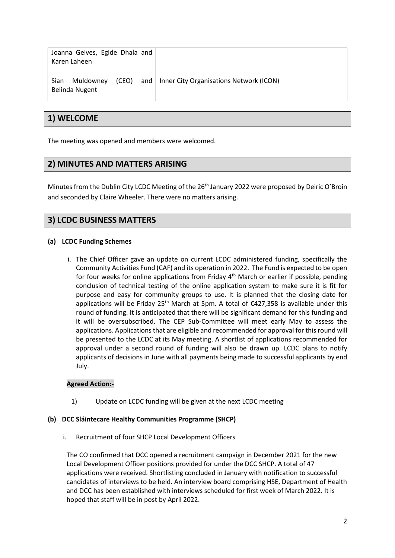| Joanna Gelves, Egide Dhala and<br>Karen Laheen |                                                     |
|------------------------------------------------|-----------------------------------------------------|
| Muldowney<br>Sian<br>Belinda Nugent            | (CEO) and   Inner City Organisations Network (ICON) |

## **1) WELCOME**

The meeting was opened and members were welcomed.

## **2) MINUTES AND MATTERS ARISING**

Minutes from the Dublin City LCDC Meeting of the 26<sup>th</sup> January 2022 were proposed by Deiric O'Broin and seconded by Claire Wheeler. There were no matters arising.

## **3) LCDC BUSINESS MATTERS**

#### **(a) LCDC Funding Schemes**

i. The Chief Officer gave an update on current LCDC administered funding, specifically the Community Activities Fund (CAF) and its operation in 2022. The Fund is expected to be open for four weeks for online applications from Friday  $4<sup>th</sup>$  March or earlier if possible, pending conclusion of technical testing of the online application system to make sure it is fit for purpose and easy for community groups to use. It is planned that the closing date for applications will be Friday 25<sup>th</sup> March at 5pm. A total of  $\epsilon$ 427,358 is available under this round of funding. It is anticipated that there will be significant demand for this funding and it will be oversubscribed. The CEP Sub-Committee will meet early May to assess the applications. Applications that are eligible and recommended for approval for this round will be presented to the LCDC at its May meeting. A shortlist of applications recommended for approval under a second round of funding will also be drawn up. LCDC plans to notify applicants of decisions in June with all payments being made to successful applicants by end July.

#### **Agreed Action:-**

1) Update on LCDC funding will be given at the next LCDC meeting

#### **(b) DCC Sláintecare Healthy Communities Programme (SHCP)**

i. Recruitment of four SHCP Local Development Officers

The CO confirmed that DCC opened a recruitment campaign in December 2021 for the new Local Development Officer positions provided for under the DCC SHCP. A total of 47 applications were received. Shortlisting concluded in January with notification to successful candidates of interviews to be held. An interview board comprising HSE, Department of Health and DCC has been established with interviews scheduled for first week of March 2022. It is hoped that staff will be in post by April 2022.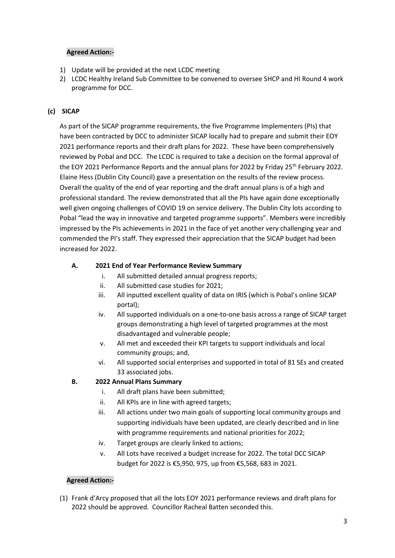#### **Agreed Action:-**

- 1) Update will be provided at the next LCDC meeting
- 2) LCDC Healthy Ireland Sub Committee to be convened to oversee SHCP and HI Round 4 work programme for DCC.

#### **(c) SICAP**

As part of the SICAP programme requirements, the five Programme Implementers (PIs) that have been contracted by DCC to administer SICAP locally had to prepare and submit their EOY 2021 performance reports and their draft plans for 2022. These have been comprehensively reviewed by Pobal and DCC. The LCDC is required to take a decision on the formal approval of the EOY 2021 Performance Reports and the annual plans for 2022 by Friday 25<sup>th</sup> February 2022. Elaine Hess (Dublin City Council) gave a presentation on the results of the review process. Overall the quality of the end of year reporting and the draft annual plans is of a high and professional standard. The review demonstrated that all the PIs have again done exceptionally well given ongoing challenges of COVID 19 on service delivery. The Dublin City lots according to Pobal "lead the way in innovative and targeted programme supports". Members were incredibly impressed by the PIs achievements in 2021 in the face of yet another very challenging year and commended the PI's staff. They expressed their appreciation that the SICAP budget had been increased for 2022.

#### **A. 2021 End of Year Performance Review Summary**

- i. All submitted detailed annual progress reports;
- ii. All submitted case studies for 2021;
- iii. All inputted excellent quality of data on IRIS (which is Pobal's online SICAP portal);
- iv. All supported individuals on a one-to-one basis across a range of SICAP target groups demonstrating a high level of targeted programmes at the most disadvantaged and vulnerable people;
- v. All met and exceeded their KPI targets to support individuals and local community groups; and,
- vi. All supported social enterprises and supported in total of 81 SEs and created 33 associated jobs.

#### **B. 2022 Annual Plans Summary**

- i. All draft plans have been submitted;
- ii. All KPIs are in line with agreed targets;
- iii. All actions under two main goals of supporting local community groups and supporting individuals have been updated, are clearly described and in line with programme requirements and national priorities for 2022;
- iv. Target groups are clearly linked to actions;
- v. All Lots have received a budget increase for 2022. The total DCC SICAP budget for 2022 is €5,950, 975, up from €5,568, 683 in 2021.

#### **Agreed Action:-**

(1) Frank d'Arcy proposed that all the lots EOY 2021 performance reviews and draft plans for 2022 should be approved. Councillor Racheal Batten seconded this.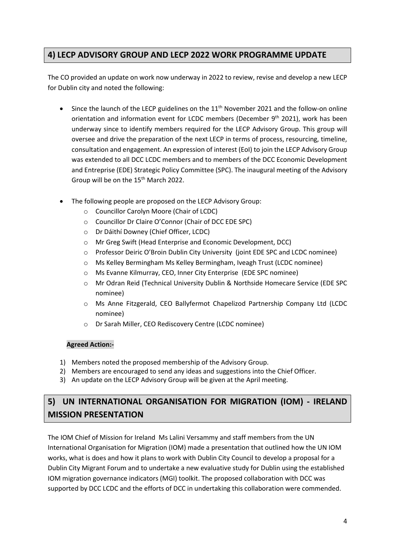## **4) LECP ADVISORY GROUP AND LECP 2022 WORK PROGRAMME UPDATE**

The CO provided an update on work now underway in 2022 to review, revise and develop a new LECP for Dublin city and noted the following:

- Since the launch of the LECP guidelines on the  $11<sup>th</sup>$  November 2021 and the follow-on online orientation and information event for LCDC members (December 9<sup>th</sup> 2021), work has been underway since to identify members required for the LECP Advisory Group. This group will oversee and drive the preparation of the next LECP in terms of process, resourcing, timeline, consultation and engagement. An expression of interest (EoI) to join the LECP Advisory Group was extended to all DCC LCDC members and to members of the DCC Economic Development and Entreprise (EDE) Strategic Policy Committee (SPC). The inaugural meeting of the Advisory Group will be on the 15<sup>th</sup> March 2022.
- The following people are proposed on the LECP Advisory Group:
	- o Councillor Carolyn Moore (Chair of LCDC)
	- o Councillor Dr Claire O'Connor (Chair of DCC EDE SPC)
	- o Dr Dáithí Downey (Chief Officer, LCDC)
	- o Mr Greg Swift (Head Enterprise and Economic Development, DCC)
	- o Professor Deiric O'Broin Dublin City University (joint EDE SPC and LCDC nominee)
	- o Ms Kelley Bermingham Ms Kelley Bermingham, Iveagh Trust (LCDC nominee)
	- o Ms Evanne Kilmurray, CEO, Inner City Enterprise (EDE SPC nominee)
	- o Mr Odran Reid (Technical University Dublin & Northside Homecare Service (EDE SPC nominee)
	- o Ms Anne Fitzgerald, CEO Ballyfermot Chapelizod Partnership Company Ltd (LCDC nominee)
	- o Dr Sarah Miller, CEO Rediscovery Centre (LCDC nominee)

#### **Agreed Action:-**

- 1) Members noted the proposed membership of the Advisory Group.
- 2) Members are encouraged to send any ideas and suggestions into the Chief Officer.
- 3) An update on the LECP Advisory Group will be given at the April meeting.

## **5) UN INTERNATIONAL ORGANISATION FOR MIGRATION (IOM) - IRELAND MISSION PRESENTATION**

The IOM Chief of Mission for Ireland Ms Lalini Versammy and staff members from the UN International Organisation for Migration (IOM) made a presentation that outlined how the UN IOM works, what is does and how it plans to work with Dublin City Council to develop a proposal for a Dublin City Migrant Forum and to undertake a new evaluative study for Dublin using the established IOM migration governance indicators (MGI) toolkit. The proposed collaboration with DCC was supported by DCC LCDC and the efforts of DCC in undertaking this collaboration were commended.